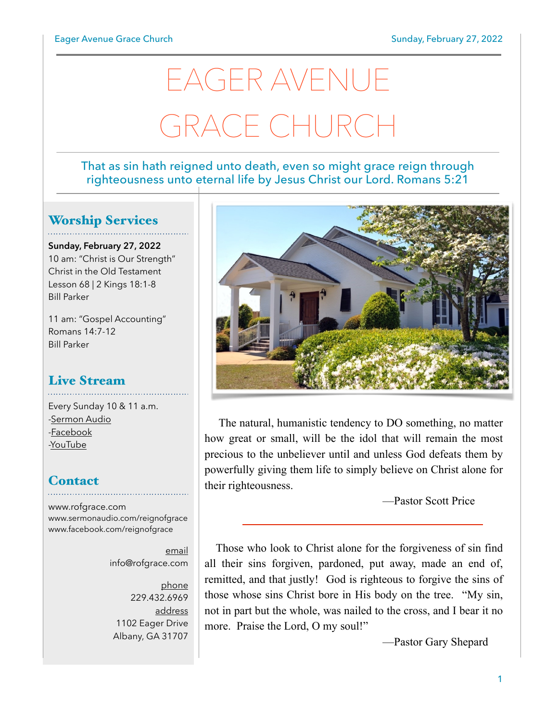# EAGER AVENUE GRACE CHURC

#### That as sin hath reigned unto death, even so might grace reign through righteousness unto eternal life by Jesus Christ our Lord. Romans 5:21

## Worship Services

**Sunday, February 27, 2022** 10 am: "Christ is Our Strength" Christ in the Old Testament Lesson 68 | 2 Kings 18:1-8 Bill Parker

11 am: "Gospel Accounting" Romans 14:7-12 Bill Parker

### Live Stream

Every Sunday 10 & 11 a.m. [-Sermon Audio](http://sermonaudio.com/reignofgrace) [-Facebook](http://facebook.com/eageravechurch) [-YouTube](http://youtube.com/channel/UCu_lTHCIUOK0cka9AjFV_5Q/live)

## **Contact**

[www.rofgrace.com](http://www.rofgrace.com) [www.sermonaudio.com/reignofgrace](http://www.sermonaudio.com/reignofgrace) [www.facebook.com/reignofgrace](http://www.facebook.com/reignofgrace)

> email [info@rofgrace.com](mailto:info@rofgrace.com?subject=)

phone 229.432.6969 address 1102 Eager Drive Albany, GA 31707



The natural, humanistic tendency to DO something, no matter how great or small, will be the idol that will remain the most precious to the unbeliever until and unless God defeats them by powerfully giving them life to simply believe on Christ alone for their righteousness.

—Pastor Scott Price

 Those who look to Christ alone for the forgiveness of sin find all their sins forgiven, pardoned, put away, made an end of, remitted, and that justly! God is righteous to forgive the sins of those whose sins Christ bore in His body on the tree. "My sin, not in part but the whole, was nailed to the cross, and I bear it no more. Praise the Lord, O my soul!"

—Pastor Gary Shepard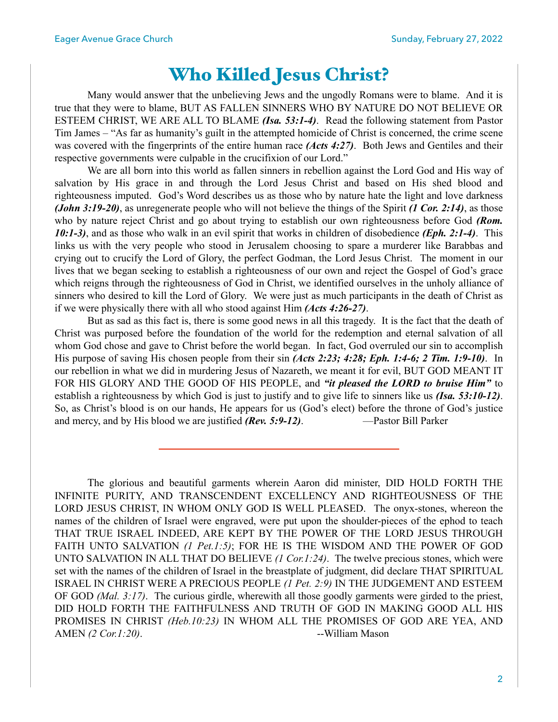# Who Killed Jesus Christ?

Many would answer that the unbelieving Jews and the ungodly Romans were to blame. And it is true that they were to blame, BUT AS FALLEN SINNERS WHO BY NATURE DO NOT BELIEVE OR ESTEEM CHRIST, WE ARE ALL TO BLAME *(Isa. 53:1-4)*. Read the following statement from Pastor Tim James – "As far as humanity's guilt in the attempted homicide of Christ is concerned, the crime scene was covered with the fingerprints of the entire human race *(Acts 4:27)*. Both Jews and Gentiles and their respective governments were culpable in the crucifixion of our Lord."

 We are all born into this world as fallen sinners in rebellion against the Lord God and His way of salvation by His grace in and through the Lord Jesus Christ and based on His shed blood and righteousness imputed. God's Word describes us as those who by nature hate the light and love darkness *(John 3:19-20)*, as unregenerate people who will not believe the things of the Spirit *(1 Cor. 2:14)*, as those who by nature reject Christ and go about trying to establish our own righteousness before God *(Rom. 10:1-3)*, and as those who walk in an evil spirit that works in children of disobedience *(Eph. 2:1-4)*. This links us with the very people who stood in Jerusalem choosing to spare a murderer like Barabbas and crying out to crucify the Lord of Glory, the perfect Godman, the Lord Jesus Christ. The moment in our lives that we began seeking to establish a righteousness of our own and reject the Gospel of God's grace which reigns through the righteousness of God in Christ, we identified ourselves in the unholy alliance of sinners who desired to kill the Lord of Glory. We were just as much participants in the death of Christ as if we were physically there with all who stood against Him *(Acts 4:26-27)*.

 But as sad as this fact is, there is some good news in all this tragedy. It is the fact that the death of Christ was purposed before the foundation of the world for the redemption and eternal salvation of all whom God chose and gave to Christ before the world began. In fact, God overruled our sin to accomplish His purpose of saving His chosen people from their sin *(Acts 2:23; 4:28; Eph. 1:4-6; 2 Tim. 1:9-10)*. In our rebellion in what we did in murdering Jesus of Nazareth, we meant it for evil, BUT GOD MEANT IT FOR HIS GLORY AND THE GOOD OF HIS PEOPLE, and *"it pleased the LORD to bruise Him"* to establish a righteousness by which God is just to justify and to give life to sinners like us *(Isa. 53:10-12)*. So, as Christ's blood is on our hands, He appears for us (God's elect) before the throne of God's justice and mercy, and by His blood we are justified *(Rev. 5:9-12)*. — Pastor Bill Parker

 The glorious and beautiful garments wherein Aaron did minister, DID HOLD FORTH THE INFINITE PURITY, AND TRANSCENDENT EXCELLENCY AND RIGHTEOUSNESS OF THE LORD JESUS CHRIST, IN WHOM ONLY GOD IS WELL PLEASED. The onyx-stones, whereon the names of the children of Israel were engraved, were put upon the shoulder-pieces of the ephod to teach THAT TRUE ISRAEL INDEED, ARE KEPT BY THE POWER OF THE LORD JESUS THROUGH FAITH UNTO SALVATION *(1 Pet.1:5)*; FOR HE IS THE WISDOM AND THE POWER OF GOD UNTO SALVATION IN ALL THAT DO BELIEVE *(1 Cor.1:24)*. The twelve precious stones, which were set with the names of the children of Israel in the breastplate of judgment, did declare THAT SPIRITUAL ISRAEL IN CHRIST WERE A PRECIOUS PEOPLE *(1 Pet. 2:9)* IN THE JUDGEMENT AND ESTEEM OF GOD *(Mal. 3:17)*. The curious girdle, wherewith all those goodly garments were girded to the priest, DID HOLD FORTH THE FAITHFULNESS AND TRUTH OF GOD IN MAKING GOOD ALL HIS PROMISES IN CHRIST *(Heb.10:23)* IN WHOM ALL THE PROMISES OF GOD ARE YEA, AND AMEN *(2 Cor.1:20)*. --William Mason